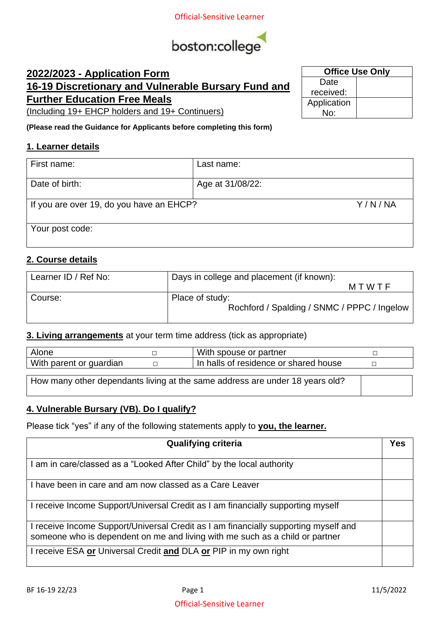

# **2022/2023 - Application Form 16-19 Discretionary and Vulnerable Bursary Fund and Further Education Free Meals**

(Including 19+ EHCP holders and 19+ Continuers)

**(Please read the Guidance for Applicants before completing this form)**

#### **1. Learner details**

| First name:                              | Last name:       |
|------------------------------------------|------------------|
| Date of birth:                           | Age at 31/08/22: |
| If you are over 19, do you have an EHCP? | Y/N/NA           |
| Your post code:                          |                  |

### **2. Course details**

| Learner ID / Ref No: | Days in college and placement (if known):   |
|----------------------|---------------------------------------------|
|                      | MTWTF                                       |
| Course:              | Place of study:                             |
|                      | Rochford / Spalding / SNMC / PPPC / Ingelow |
|                      |                                             |

#### **3. Living arrangements** at your term time address (tick as appropriate)

| Alone                                                                        |  | With spouse or partner                |  |  |  |
|------------------------------------------------------------------------------|--|---------------------------------------|--|--|--|
| With parent or guardian                                                      |  | In halls of residence or shared house |  |  |  |
|                                                                              |  |                                       |  |  |  |
| How many other dependants living at the same address are under 18 years old? |  |                                       |  |  |  |

#### **4. Vulnerable Bursary (VB). Do I qualify?**

Please tick "yes" if any of the following statements apply to **you, the learner.** 

| <b>Qualifying criteria</b>                                                                                                                                          | Yes |
|---------------------------------------------------------------------------------------------------------------------------------------------------------------------|-----|
| I am in care/classed as a "Looked After Child" by the local authority                                                                                               |     |
| I have been in care and am now classed as a Care Leaver                                                                                                             |     |
| I receive Income Support/Universal Credit as I am financially supporting myself                                                                                     |     |
| I receive Income Support/Universal Credit as I am financially supporting myself and<br>someone who is dependent on me and living with me such as a child or partner |     |
| I receive ESA or Universal Credit and DLA or PIP in my own right                                                                                                    |     |

| <b>Office Use Only</b> |  |  |  |
|------------------------|--|--|--|
| Date                   |  |  |  |
| received:              |  |  |  |
| Application            |  |  |  |
| No∶                    |  |  |  |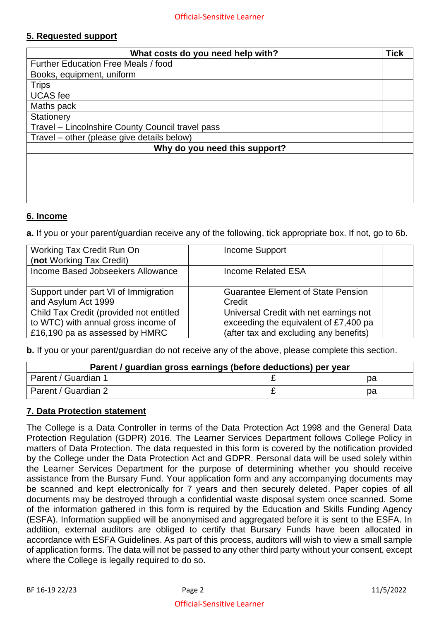## **5. Requested support**

| What costs do you need help with?                |  |  |  |
|--------------------------------------------------|--|--|--|
| Further Education Free Meals / food              |  |  |  |
| Books, equipment, uniform                        |  |  |  |
| <b>Trips</b>                                     |  |  |  |
| <b>UCAS</b> fee                                  |  |  |  |
| Maths pack                                       |  |  |  |
| Stationery                                       |  |  |  |
| Travel - Lincolnshire County Council travel pass |  |  |  |
| Travel – other (please give details below)       |  |  |  |
| Why do you need this support?                    |  |  |  |
|                                                  |  |  |  |
|                                                  |  |  |  |
|                                                  |  |  |  |
|                                                  |  |  |  |
|                                                  |  |  |  |

#### **6. Income**

**a.** If you or your parent/guardian receive any of the following, tick appropriate box. If not, go to 6b.

| Working Tax Credit Run On<br>(not Working Tax Credit) | Income Support                            |
|-------------------------------------------------------|-------------------------------------------|
| Income Based Jobseekers Allowance                     | Income Related ESA                        |
| Support under part VI of Immigration                  | <b>Guarantee Element of State Pension</b> |
| and Asylum Act 1999                                   | Credit                                    |
| Child Tax Credit (provided not entitled               | Universal Credit with net earnings not    |
| to WTC) with annual gross income of                   | exceeding the equivalent of £7,400 pa     |
| £16,190 pa as assessed by HMRC                        | (after tax and excluding any benefits)    |

**b.** If you or your parent/guardian do not receive any of the above, please complete this section.

| Parent / guardian gross earnings (before deductions) per year |  |    |  |  |  |
|---------------------------------------------------------------|--|----|--|--|--|
| Parent / Guardian 1<br>pа                                     |  |    |  |  |  |
| Parent / Guardian 2                                           |  | pa |  |  |  |

#### **7. Data Protection statement**

The College is a Data Controller in terms of the Data Protection Act 1998 and the General Data Protection Regulation (GDPR) 2016. The Learner Services Department follows College Policy in matters of Data Protection. The data requested in this form is covered by the notification provided by the College under the Data Protection Act and GDPR. Personal data will be used solely within the Learner Services Department for the purpose of determining whether you should receive assistance from the Bursary Fund. Your application form and any accompanying documents may be scanned and kept electronically for 7 years and then securely deleted. Paper copies of all documents may be destroyed through a confidential waste disposal system once scanned. Some of the information gathered in this form is required by the Education and Skills Funding Agency (ESFA). Information supplied will be anonymised and aggregated before it is sent to the ESFA. In addition, external auditors are obliged to certify that Bursary Funds have been allocated in accordance with ESFA Guidelines. As part of this process, auditors will wish to view a small sample of application forms. The data will not be passed to any other third party without your consent, except where the College is legally required to do so.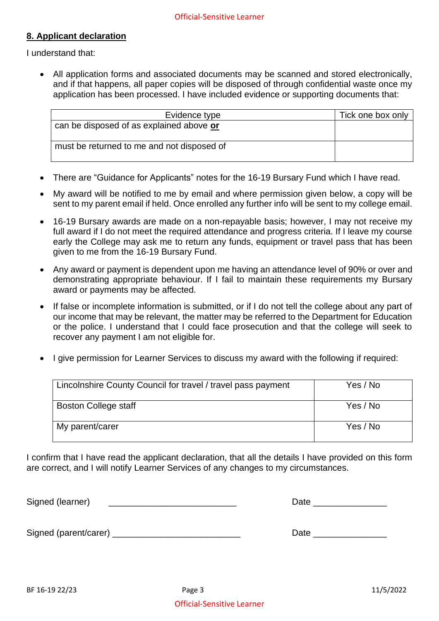## **8. Applicant declaration**

I understand that:

• All application forms and associated documents may be scanned and stored electronically, and if that happens, all paper copies will be disposed of through confidential waste once my application has been processed. I have included evidence or supporting documents that:

| Evidence type                              | Tick one box only |
|--------------------------------------------|-------------------|
| can be disposed of as explained above or   |                   |
| must be returned to me and not disposed of |                   |

- There are "Guidance for Applicants" notes for the 16-19 Bursary Fund which I have read.
- My award will be notified to me by email and where permission given below, a copy will be sent to my parent email if held. Once enrolled any further info will be sent to my college email.
- 16-19 Bursary awards are made on a non-repayable basis; however, I may not receive my full award if I do not meet the required attendance and progress criteria. If I leave my course early the College may ask me to return any funds, equipment or travel pass that has been given to me from the 16-19 Bursary Fund.
- Any award or payment is dependent upon me having an attendance level of 90% or over and demonstrating appropriate behaviour. If I fail to maintain these requirements my Bursary award or payments may be affected.
- If false or incomplete information is submitted, or if I do not tell the college about any part of our income that may be relevant, the matter may be referred to the Department for Education or the police. I understand that I could face prosecution and that the college will seek to recover any payment I am not eligible for.
- I give permission for Learner Services to discuss my award with the following if required:

| Lincolnshire County Council for travel / travel pass payment | Yes / No |
|--------------------------------------------------------------|----------|
| Boston College staff                                         | Yes / No |
| My parent/carer                                              | Yes / No |

I confirm that I have read the applicant declaration, that all the details I have provided on this form are correct, and I will notify Learner Services of any changes to my circumstances.

Signed (learner) \_\_\_\_\_\_\_\_\_\_\_\_\_\_\_\_\_\_\_\_\_\_\_\_\_\_ Date \_\_\_\_\_\_\_\_\_\_\_\_\_\_\_

Signed (parent/carer) \_\_\_\_\_\_\_\_\_\_\_\_\_\_\_\_\_\_\_\_\_\_\_\_\_\_ Date \_\_\_\_\_\_\_\_\_\_\_\_\_\_\_